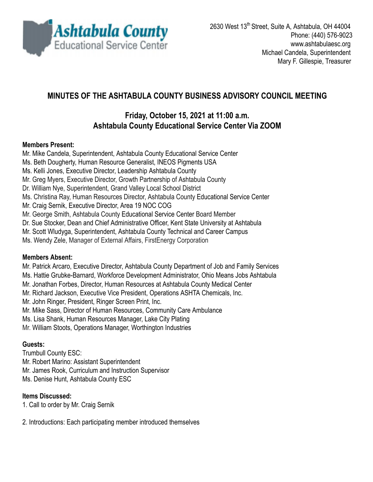

# **MINUTES OF THE ASHTABULA COUNTY BUSINESS ADVISORY COUNCIL MEETING**

## **Friday, October 15, 2021 at 11:00 a.m. Ashtabula County Educational Service Center Via ZOOM**

#### **Members Present:**

Mr. Mike Candela, Superintendent, Ashtabula County Educational Service Center

- Ms. Beth Dougherty, Human Resource Generalist, INEOS Pigments USA
- Ms. Kelli Jones, Executive Director, Leadership Ashtabula County
- Mr. Greg Myers, Executive Director, Growth Partnership of Ashtabula County
- Dr. William Nye, Superintendent, Grand Valley Local School District
- Ms. Christina Ray, Human Resources Director, Ashtabula County Educational Service Center
- Mr. Craig Sernik, Executive Director, Area 19 NOC COG
- Mr. George Smith, Ashtabula County Educational Service Center Board Member
- Dr. Sue Stocker, Dean and Chief Administrative Officer, Kent State University at Ashtabula
- Mr. Scott Wludyga, Superintendent, Ashtabula County Technical and Career Campus
- Ms. Wendy Zele, Manager of External Affairs, FirstEnergy Corporation

#### **Members Absent:**

Mr. Patrick Arcaro, Executive Director, Ashtabula County Department of Job and Family Services

- Ms. Hattie Grubke-Barnard, Workforce Development Administrator, Ohio Means Jobs Ashtabula
- Mr. Jonathan Forbes, Director, Human Resources at Ashtabula County Medical Center
- Mr. Richard Jackson, Executive Vice President, Operations ASHTA Chemicals, Inc.
- Mr. John Ringer, President, Ringer Screen Print, Inc.
- Mr. Mike Sass, Director of Human Resources, Community Care Ambulance
- Ms. Lisa Shank, Human Resources Manager, Lake City Plating
- Mr. William Stoots, Operations Manager, Worthington Industries

### **Guests:**

Trumbull County ESC: Mr. Robert Marino: Assistant Superintendent Mr. James Rook, Curriculum and Instruction Supervisor Ms. Denise Hunt, Ashtabula County ESC

#### **Items Discussed:**

- 1. Call to order by Mr. Craig Sernik
- 2. Introductions: Each participating member introduced themselves